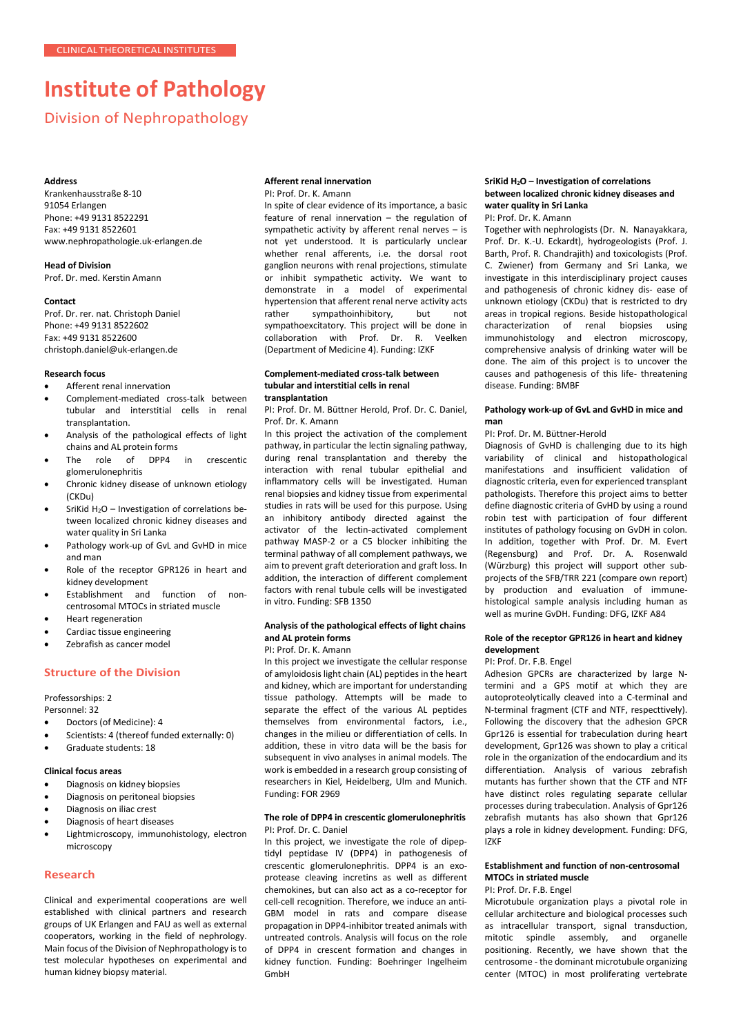# **Institute of Pathology**

Division of Nephropathology

#### **Address**

Krankenhausstraße 8-10 91054 Erlangen Phone: +49 9131 8522291 Fax: +49 9131 8522601 [www.nephropathologie.uk-erlangen.de](http://www.nephropathologie.uk-erlangen.de/)

**Head of Division** Prof. Dr. med. Kerstin Amann

#### **Contact**

Prof. Dr. rer. nat. Christoph Daniel Phone: +49 9131 8522602 Fax: +49 9131 8522600 [christoph.daniel@uk-erlangen.de](mailto:christoph.daniel@uk-erlangen.de)

## **Research focus**

- Afferent renal innervation
- Complement-mediated cross-talk between tubular and interstitial cells in renal transplantation.
- Analysis of the pathological effects of light chains and AL protein forms
- The role of DPP4 in crescentic glomerulonephritis
- Chronic kidney disease of unknown etiology (CKDu)
- SriKid  $H_2O$  Investigation of correlations between localized chronic kidney diseases and water quality in Sri Lanka
- Pathology work-up of GvL and GvHD in mice and man
- Role of the receptor GPR126 in heart and kidney development
- Establishment and function of noncentrosomal MTOCs in striated muscle
- Heart regeneration
- Cardiac tissue engineering
- Zebrafish as cancer model

## **Structure of the Division**

Professorships: 2

Personnel: 32

- Doctors (of Medicine): 4
- Scientists: 4 (thereof funded externally: 0)
- Graduate students: 18

## **Clinical focus areas**

- Diagnosis on kidney biopsies
- Diagnosis on peritoneal biopsies
- Diagnosis on iliac crest
- Diagnosis of heart diseases
- Lightmicroscopy, immunohistology, electron microscopy

## **Research**

Clinical and experimental cooperations are well established with clinical partners and research groups of UK Erlangen and FAU as well as external cooperators, working in the field of nephrology. Main focus of the Division of Nephropathology is to test molecular hypotheses on experimental and human kidney biopsy material.

#### **Afferent renal innervation** PI: Prof. Dr. K. Amann

In spite of clear evidence of its importance, a basic feature of renal innervation – the regulation of sympathetic activity by afferent renal nerves – is not yet understood. It is particularly unclear whether renal afferents, i.e. the dorsal root ganglion neurons with renal projections, stimulate or inhibit sympathetic activity. We want to demonstrate in a model of experimental hypertension that afferent renal nerve activity acts<br>rather sympathoinhibitory. but not sympathoinhibitory, sympathoexcitatory. This project will be done in collaboration with Prof. Dr. R. Veelken (Department of Medicine 4). Funding: IZKF

#### **Complement-mediated cross-talk between tubular and interstitial cells in renal transplantation**

PI: Prof. Dr. M. Büttner Herold, Prof. Dr. C. Daniel, Prof. Dr. K. Amann

In this project the activation of the complement pathway, in particular the lectin signaling pathway, during renal transplantation and thereby the interaction with renal tubular epithelial and inflammatory cells will be investigated. Human renal biopsies and kidney tissue from experimental studies in rats will be used for this purpose. Using an inhibitory antibody directed against the activator of the lectin-activated complement pathway MASP-2 or a C5 blocker inhibiting the terminal pathway of all complement pathways, we aim to prevent graft deterioration and graft loss. In addition, the interaction of different complement factors with renal tubule cells will be investigated in vitro. Funding: SFB 1350

## **Analysis of the pathological effects of light chains and AL protein forms**

PI: Prof. Dr. K. Amann

In this project we investigate the cellular response of amyloidosis light chain (AL) peptides in the heart and kidney, which are important for understanding tissue pathology. Attempts will be made to separate the effect of the various AL peptides themselves from environmental factors, i.e., changes in the milieu or differentiation of cells. In addition, these in vitro data will be the basis for subsequent in vivo analyses in animal models. The work is embedded in a research group consisting of researchers in Kiel, Heidelberg, Ulm and Munich. Funding: FOR 2969

#### **The role of DPP4 in crescentic glomerulonephritis** PI: Prof. Dr. C. Daniel

In this project, we investigate the role of dipeptidyl peptidase IV (DPP4) in pathogenesis of crescentic glomerulonephritis. DPP4 is an exoprotease cleaving incretins as well as different chemokines, but can also act as a co-receptor for cell-cell recognition. Therefore, we induce an anti-GBM model in rats and compare disease propagation in DPP4-inhibitor treated animals with untreated controls. Analysis will focus on the role of DPP4 in crescent formation and changes in kidney function. Funding: Boehringer Ingelheim GmbH

## **SriKid H2O – Investigation of correlations between localized chronic kidney diseases and water quality in Sri Lanka**

PI: Prof. Dr. K. Amann

Together with nephrologists (Dr. N. Nanayakkara, Prof. Dr. K.-U. Eckardt), hydrogeologists (Prof. J. Barth, Prof. R. Chandrajith) and toxicologists (Prof. C. Zwiener) from Germany and Sri Lanka, we investigate in this interdisciplinary project causes and pathogenesis of chronic kidney dis- ease of unknown etiology (CKDu) that is restricted to dry areas in tropical regions. Beside histopathological characterization of renal biopsies using immunohistology and electron microscopy, comprehensive analysis of drinking water will be done. The aim of this project is to uncover the causes and pathogenesis of this life- threatening disease. Funding: BMBF

## **Pathology work-up of GvL and GvHD in mice and man**

#### PI: Prof. Dr. M. Büttner-Herold

Diagnosis of GvHD is challenging due to its high variability of clinical and histopathological manifestations and insufficient validation of diagnostic criteria, even for experienced transplant pathologists. Therefore this project aims to better define diagnostic criteria of GvHD by using a round robin test with participation of four different institutes of pathology focusing on GvDH in colon. In addition, together with Prof. Dr. M. Evert (Regensburg) and Prof. Dr. A. Rosenwald (Würzburg) this project will support other subprojects of the SFB/TRR 221 (compare own report) by production and evaluation of immunehistological sample analysis including human as well as murine GvDH. Funding: DFG, IZKF A84

#### **Role of the receptor GPR126 in heart and kidney development**

#### PI: Prof. Dr. F.B. Engel

Adhesion GPCRs are characterized by large Ntermini and a GPS motif at which they are autoproteolytically cleaved into a C-terminal and N-terminal fragment (CTF and NTF, respecttively). Following the discovery that the adhesion GPCR Gpr126 is essential for trabeculation during heart development, Gpr126 was shown to play a critical role in the organization of the endocardium and its differentiation. Analysis of various zebrafish mutants has further shown that the CTF and NTF have distinct roles regulating separate cellular processes during trabeculation. Analysis of Gpr126 zebrafish mutants has also shown that Gpr126 plays a role in kidney development. Funding: DFG, IZKF

# **Establishment and function of non-centrosomal MTOCs in striated muscle**

PI: Prof. Dr. F.B. Engel

Microtubule organization plays a pivotal role in cellular architecture and biological processes such as intracellular transport, signal transduction, mitotic spindle assembly, and organelle positioning. Recently, we have shown that the centrosome - the dominant microtubule organizing center (MTOC) in most proliferating vertebrate